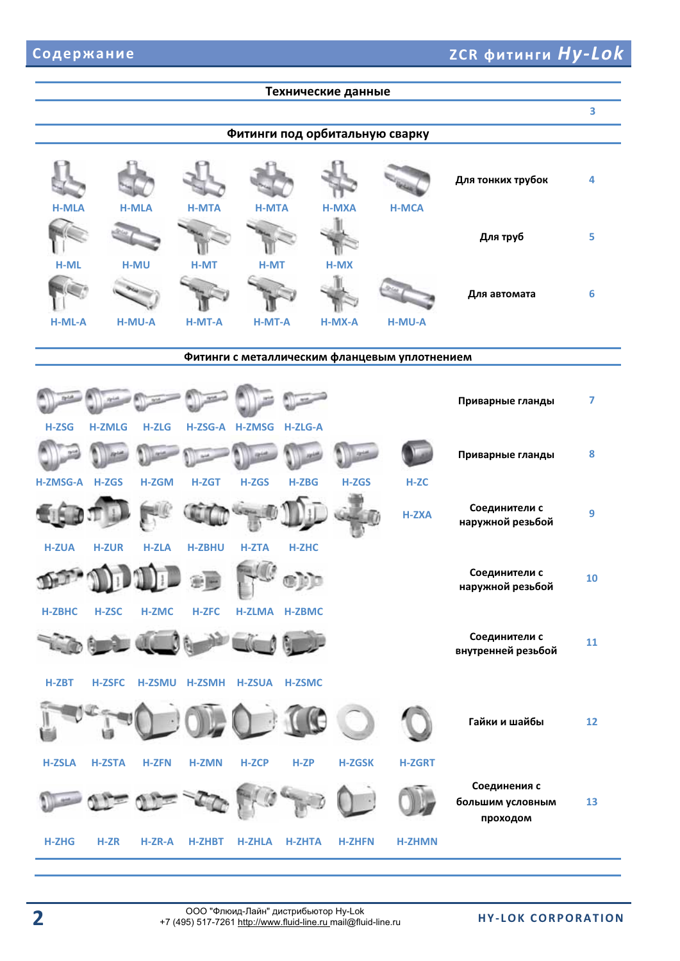|                |                                                                                                                                       |              |                |                        |                | Технические данные |                                |                                              |    |  |  |
|----------------|---------------------------------------------------------------------------------------------------------------------------------------|--------------|----------------|------------------------|----------------|--------------------|--------------------------------|----------------------------------------------|----|--|--|
|                |                                                                                                                                       |              |                |                        |                |                    |                                |                                              | 3  |  |  |
|                |                                                                                                                                       |              |                |                        |                |                    | Фитинги под орбитальную сварку |                                              |    |  |  |
| <b>H-MLA</b>   |                                                                                                                                       | <b>H-MLA</b> | <b>H-MTA</b>   | <b>H-MTA</b>           |                | <b>H-MXA</b>       | <b>H-MCA</b>                   | Для тонких трубок                            | 4  |  |  |
| H-ML           |                                                                                                                                       | <b>H-MU</b>  | <b>H-MT</b>    | <b>H-MT</b>            |                | $H-MX$             |                                | Для труб                                     | 5  |  |  |
|                |                                                                                                                                       |              |                |                        |                |                    |                                | Для автомата                                 | 6  |  |  |
|                | H-ML-A<br><b>H-MT-A</b><br><b>H-MT-A</b><br><b>H-MU-A</b><br>H-MX-A<br><b>H-MU-A</b><br>Фитинги с металлическим фланцевым уплотнением |              |                |                        |                |                    |                                |                                              |    |  |  |
| <b>H-ZSG</b>   | <b>H-ZMLG</b>                                                                                                                         | <b>H-ZLG</b> | H-ZSG-A H-ZMSG |                        | <b>H-ZLG-A</b> |                    |                                | Приварные гланды                             | 7  |  |  |
|                |                                                                                                                                       |              |                |                        |                |                    |                                | Приварные гланды                             | 8  |  |  |
| H-ZMSG-A H-ZGS |                                                                                                                                       | <b>H-ZGM</b> | H-ZGT          | H-ZGS                  | <b>H-ZBG</b>   | H-ZGS              | H-ZC<br><b>H-ZXA</b>           | Соединители с<br>наружной резьбой            | 9  |  |  |
| <b>H-ZUA</b>   | <b>H-ZUR</b>                                                                                                                          | <b>H-ZLA</b> | <b>H-ZBHU</b>  | <b>H-ZTA</b><br>$\sim$ | <b>H-ZHC</b>   |                    |                                | Соединители с<br>наружной резьбой            | 10 |  |  |
| <b>H-ZBHC</b>  | <b>H-ZSC</b>                                                                                                                          | <b>H-ZMC</b> | <b>H-ZFC</b>   |                        | H-ZLMA H-ZBMC  |                    |                                | Соединители с<br>внутренней резьбой          | 11 |  |  |
| $H-ZBT$        | <b>H-ZSFC</b>                                                                                                                         |              | H-ZSMU H-ZSMH  | <b>H-ZSUA</b>          | <b>H-ZSMC</b>  |                    |                                |                                              |    |  |  |
| <b>H-ZSLA</b>  | 頃<br><b>H-ZSTA</b>                                                                                                                    | <b>H-ZFN</b> | <b>H-ZMN</b>   | <b>H-ZCP</b>           | H-ZP           | <b>H-ZGSK</b>      | <b>H-ZGRT</b>                  | Гайки и шайбы                                | 12 |  |  |
|                |                                                                                                                                       |              |                |                        |                |                    |                                | Соединения с<br>большим условным<br>проходом | 13 |  |  |
| <b>H-ZHG</b>   | $H-ZR$                                                                                                                                | H-ZR-A       | <b>H-ZHBT</b>  | <b>H-ZHLA</b>          | <b>H-ZHTA</b>  | <b>H-ZHFN</b>      | <b>H-ZHMN</b>                  |                                              |    |  |  |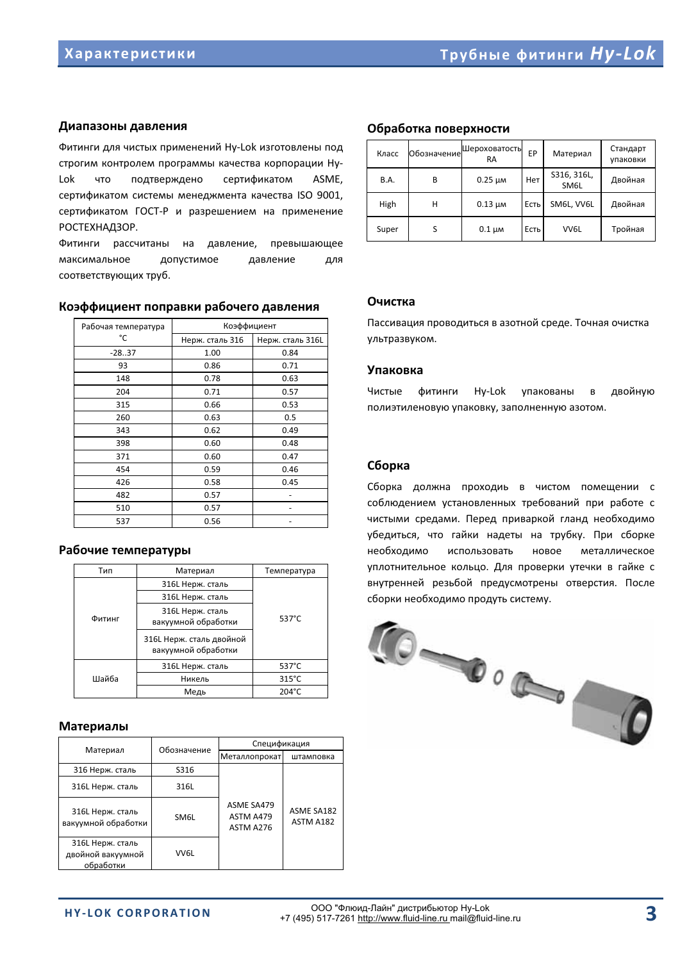### Диапазоны давления

Фитинги для чистых применений Hy-Lok изготовлены под строгим контролем программы качества корпорации Ну-Lokчто подтверждено сертификатом ASME, сертификатом системы менеджмента качества ISO 9001, сертификатом ГОСТ-Р и разрешением на применение РОСТЕХНАДЗОР.

Фитинги рассчитаны на давление, превышающее максимальное допустимое давление для соответствующих труб.

#### Коэффициент поправки рабочего давления

| Рабочая температура | Коэффициент     |                  |  |  |
|---------------------|-----------------|------------------|--|--|
| °C                  | Нерж. сталь 316 | Нерж. сталь 316L |  |  |
| $-28.37$            | 1.00            | 0.84             |  |  |
| 93                  | 0.86            | 0.71             |  |  |
| 148                 | 0.78            | 0.63             |  |  |
| 204                 | 0.71            | 0.57             |  |  |
| 315                 | 0.66            | 0.53             |  |  |
| 260                 | 0.63            | 0.5              |  |  |
| 343                 | 0.62            | 0.49             |  |  |
| 398                 | 0.60            | 0.48             |  |  |
| 371                 | 0.60            | 0.47             |  |  |
| 454                 | 0.59            | 0.46             |  |  |
| 426                 | 0.58            | 0.45             |  |  |
| 482                 | 0.57            |                  |  |  |
| 510                 | 0.57            |                  |  |  |
| 537                 | 0.56            |                  |  |  |

### Рабочие температуры

| Тип    | Материал                                        | Температура     |  |  |
|--------|-------------------------------------------------|-----------------|--|--|
|        | 316L Нерж. сталь                                |                 |  |  |
|        | 316L Нерж. сталь                                |                 |  |  |
| Фитинг | 316L Нерж. сталь<br>вакуумной обработки         | 537°C           |  |  |
|        | 316L Нерж. сталь двойной<br>вакуумной обработки |                 |  |  |
|        | 316L Нерж. сталь                                | 537°C           |  |  |
| Шайба  | Никель                                          | $315^{\circ}$ C |  |  |
|        | Медь                                            | 204°C           |  |  |

### **Материалы**

| Материал                                           | Обозначение | Спецификация                                |                                |  |  |
|----------------------------------------------------|-------------|---------------------------------------------|--------------------------------|--|--|
|                                                    |             | Металлопрокат                               | штамповка                      |  |  |
| 316 Нерж. сталь                                    | S316        |                                             |                                |  |  |
| 316L Нерж. сталь                                   | 316L        |                                             |                                |  |  |
| 316L Нерж. сталь<br>вакуумной обработки            | SM6L        | <b>ASME SA479</b><br>ASTM A479<br>ASTM A276 | <b>ASME SA182</b><br>ASTM A182 |  |  |
| 316L Нерж. сталь<br>двойной вакуумной<br>обработки | VV6L        |                                             |                                |  |  |

### Обработка поверхности

| Класс       | Обозначение | Шероховатость<br>EP<br><b>RA</b> |      | Материал            | Стандарт<br>упаковки |
|-------------|-------------|----------------------------------|------|---------------------|----------------------|
| <b>B.A.</b> | B           | $0.25 \mu m$                     | Нет  | S316, 316L,<br>SM6L | Двойная              |
| High        | н           | $0.13 \mu$ M                     | Есть | SM6L, VV6L          | Двойная              |
| Super       | S           | $0.1 \mu$ M                      | Есть | VV6L                | Тройная              |

### **,**

Пассивация проводиться в азотной среде. Точная очистка ультразвуком.

#### **Упаковка**

Чистые **фитинги** Hv-Lok упакованы  $\overline{B}$ двойную полиэтиленовую упаковку, заполненную азотом.

### Сборка

Сборка должна проходиь в чистом помещении с соблюдением установленных требований при работе с чистыми средами. Перед приваркой гланд необходимо убедиться, что гайки надеты на трубку. При сборке необходимо использовать новое металлическое уплотнительное кольцо. Для проверки утечки в гайке с внутренней резьбой предусмотрены отверстия. После сборки необходимо продуть систему.

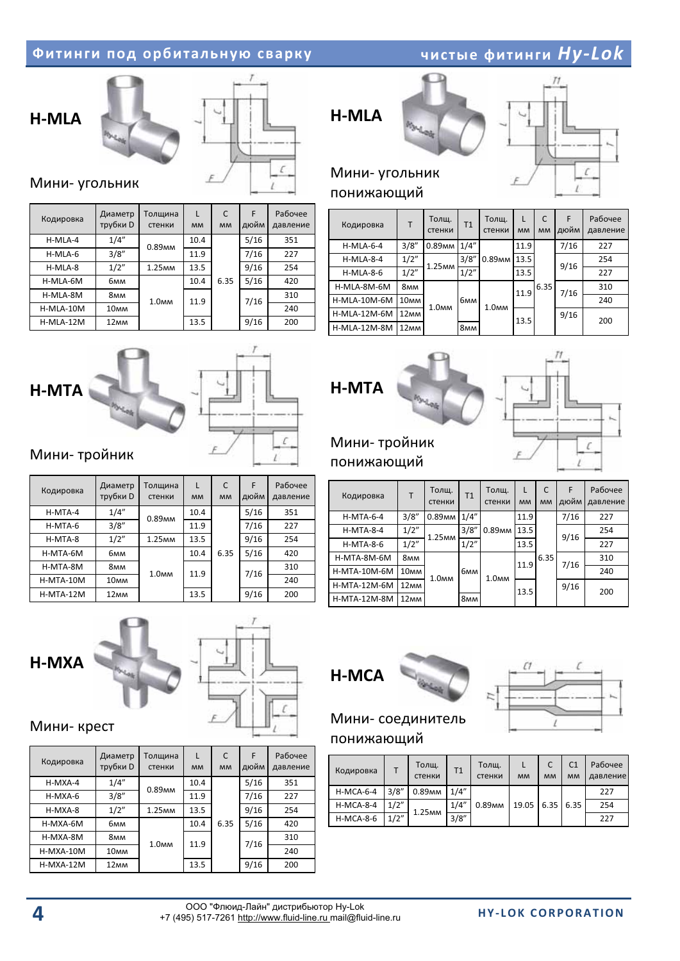### **Фитинги под орбитальную сварку и полнение при**





### Мини- угольник

| Кодировка | Диаметр<br>трубки D | Толщина<br>стенки    | L<br><b>MM</b> | C<br><b>MM</b> | F<br>дюйм | Рабочее<br>давление |
|-----------|---------------------|----------------------|----------------|----------------|-----------|---------------------|
| H-MLA-4   | 1/4"                | 0.89 <sub>MM</sub>   | 10.4           |                | 5/16      | 351                 |
| H-MLA-6   | 3/8"                |                      | 11.9           | 6.35           | 7/16      | 227                 |
| H-MLA-8   | 1/2"                | $1.25$ <sub>MM</sub> | 13.5           |                | 9/16      | 254                 |
| H-MLA-6M  | бмм                 |                      | 10.4           |                | 5/16      | 420                 |
| H-MLA-8M  | 8мм                 | 1.0 <sub>MM</sub>    | 11.9           |                | 7/16      | 310                 |
| H-MLA-10M | 10 <sub>MM</sub>    |                      |                |                |           | 240                 |
| H-MLA-12M | 12 <sub>MM</sub>    |                      | 13.5           |                | 9/16      | 200                 |

# H-MLA





 $I$ 

 *Hy-Lok*

### Мини- угольник понижающий

| Кодировка        | $\mathsf{T}$     | Толщ.<br>стенки    | T1    | Толщ.<br>стенки   | L<br><b>MM</b> | C<br><b>MM</b> | F<br>дюйм | Рабочее<br>давление |
|------------------|------------------|--------------------|-------|-------------------|----------------|----------------|-----------|---------------------|
| $H-MLA-6-4$      | 3/8"             | 0.89 <sub>MM</sub> | 1/4'' | 0.89мм            | 11.9           |                | 7/16      | 227                 |
| $H-MLA-8-4$      | 1/2"             | 1.25 <sub>MM</sub> | 3/8'' |                   | 13.5           |                | 9/16      | 254                 |
| <b>H-MLA-8-6</b> | 1/2"             |                    | 1/2"  |                   | 13.5           |                |           | 227                 |
| H-MLA-8M-6M      | 8мм              |                    |       |                   | 11.9           | 6.35           | 7/16      | 310                 |
| H-MLA-10M-6M     | 10 <sub>MM</sub> | 1.0 <sub>MM</sub>  | бмм   | 1.0 <sub>MM</sub> |                |                |           | 240                 |
| H-MLA-12M-6M     | 12 <sub>MM</sub> |                    |       |                   | 13.5           |                | 9/16      | 200                 |
| H-MLA-12M-8M     | 12 <sub>MM</sub> |                    | 8мм   |                   |                |                |           |                     |



# H-MTA

### Мини-тройник

| Кодировка | Диаметр<br>трубки D | Толщина<br>стенки  | L<br><b>MM</b> | C<br><b>MM</b> | F<br>дюйм | Рабочее<br>давление |
|-----------|---------------------|--------------------|----------------|----------------|-----------|---------------------|
| H-MTA-4   | 1/4"                | 0.89 <sub>MM</sub> | 10.4           |                | 5/16      | 351                 |
| $H-MTA-6$ | 3/8''               |                    | 11.9           | 6.35           | 7/16      | 227                 |
| H-MTA-8   | 1/2"                | 1.25 <sub>MM</sub> | 13.5           |                | 9/16      | 254                 |
| H-MTA-6M  | бмм                 |                    | 10.4           |                | 5/16      | 420                 |
| H-MTA-8M  | <b>8мм</b>          | 1.0 <sub>MM</sub>  | 11.9           |                | 7/16      | 310                 |
| H-MTA-10M | 10 <sub>MM</sub>    |                    |                |                |           | 240                 |
| H-MTA-12M | 12 <sub>MM</sub>    |                    | 13.5           |                | 9/16      | 200                 |





### Мини-тройник понижающий

| Кодировка        | T                | Толщ.<br>стенки    | T1         | Толщ.<br>стенки    | L<br><b>MM</b> | C<br><b>MM</b> | F<br>дюйм | Рабочее<br>давление |
|------------------|------------------|--------------------|------------|--------------------|----------------|----------------|-----------|---------------------|
| <b>H-MTA-6-4</b> | 3/8"             | 0.89 <sub>MM</sub> | 1/4''      |                    | 11.9           |                | 7/16      | 227                 |
| $H-MTA-8-4$      | 1/2"             | 1.25 <sub>MM</sub> | 3/8"       | 0.89 <sub>MM</sub> | 13.5           |                | 9/16      | 254                 |
| <b>H-MTA-8-6</b> | 1/2"             |                    | 1/2"       |                    | 13.5           |                |           | 227                 |
| H-MTA-8M-6M      | 8мм              |                    |            |                    | 11.9           | 6.35           | 7/16      | 310                 |
| H-MTA-10M-6M     | 10 <sub>MM</sub> | 1.0 <sub>MM</sub>  | бмм        | 1.0 <sub>MM</sub>  |                |                |           | 240                 |
| H-MTA-12M-6M     | 12 <sub>MM</sub> |                    |            |                    | 13.5           |                | 9/16      | 200                 |
| H-MTA-12M-8M     | 12 <sub>MM</sub> |                    | <b>8мм</b> |                    |                |                |           |                     |



### Мини-крест

| Кодировка   | Диаметр<br>трубки D | Толщина<br>стенки  | L<br><b>MM</b> | C<br><b>MM</b> | F<br>дюйм | Рабочее<br>давление |
|-------------|---------------------|--------------------|----------------|----------------|-----------|---------------------|
| $H-MXA-4$   | 1/4"                | 0.89 <sub>MM</sub> | 10.4           | 6.35           | 5/16      | 351                 |
| H-MXA-6     | 3/8"                |                    | 11.9           |                | 7/16      | 227                 |
| $H-MXA-8$   | 1/2"                | 1.25 <sub>MM</sub> | 13.5           |                | 9/16      | 254                 |
| H-MXA-6M    | бмм                 |                    | 10.4           |                | 5/16      | 420                 |
| H-MXA-8M    | 8мм                 | 1.0 <sub>MM</sub>  | 11.9           |                | 7/16      | 310                 |
| H-MXA-10M   | 10 <sub>MM</sub>    |                    |                |                |           | 240                 |
| $H-MXA-12M$ | 12 <sub>MM</sub>    |                    | 13.5           |                | 9/16      | 200                 |



### Мини- соединитель понижающий

| Кодировка        |       | Толщ.<br>стенки    | T1    | Толщ.<br>стенки    | <b>MM</b> | <b>MM</b> | C <sub>1</sub><br><b>MM</b> | Рабочее<br>давление |
|------------------|-------|--------------------|-------|--------------------|-----------|-----------|-----------------------------|---------------------|
| $H-MCA-6-4$      | 3/8'' | 0.89 <sub>MM</sub> | 1/4"  | 0.89 <sub>MM</sub> | 19.05     | 6.35      | 6.35                        | 227                 |
| $H-MCA-8-4$      | 1/2"  | 1.25 <sub>MM</sub> | 1/4"  |                    |           |           |                             | 254                 |
| <b>H-MCA-8-6</b> | 1/2"  |                    | 3/8'' |                    |           |           |                             | 227                 |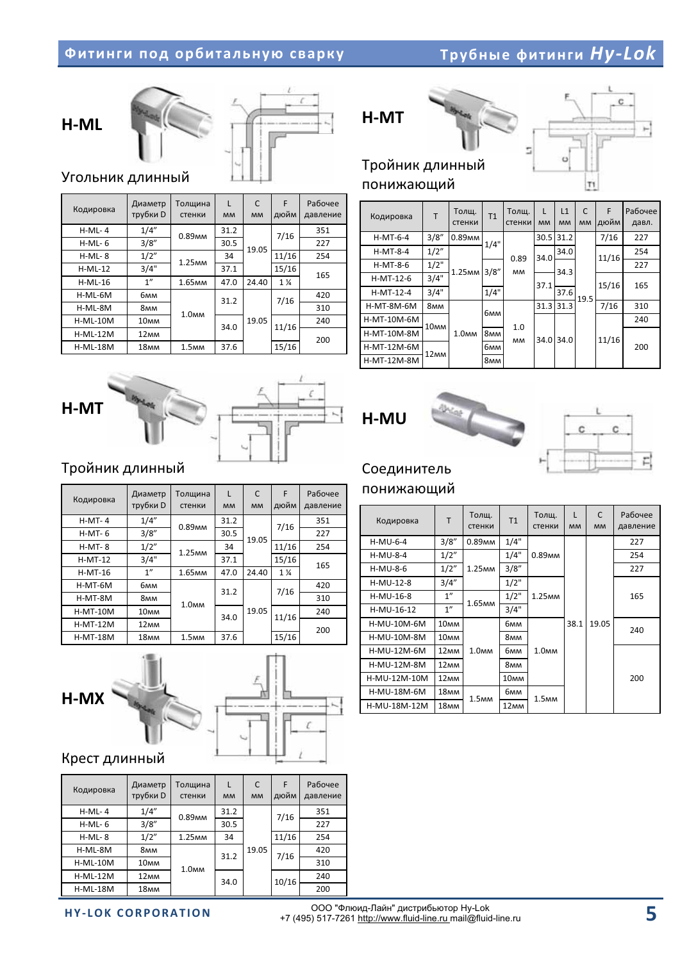### *Hy-Lok*





### Угольник длинный

| Кодировка       | Диаметр<br>трубки D | Толщина<br>стенки  | $\mathbf{I}$<br><b>MM</b> | C<br><b>MM</b> | F<br>дюйм | Рабочее<br>давление |
|-----------------|---------------------|--------------------|---------------------------|----------------|-----------|---------------------|
| $H-ML-4$        | 1/4"                | 0.89 <sub>MM</sub> | 31.2                      |                | 7/16      | 351                 |
| $H-ML-6$        | 3/8''               |                    | 30.5                      | 19.05          |           | 227                 |
| $H-ML-8$        | 1/2"                | 1.25 <sub>MM</sub> | 34                        |                | 11/16     | 254                 |
| $H-ML-12$       | 3/4"                |                    | 37.1                      |                | 15/16     | 165                 |
| $H-ML-16$       | 1"                  | 1.65 <sub>MM</sub> | 47.0                      | 24.40          | $1\%$     |                     |
| H-ML-6M         | бмм                 |                    | 31.2                      |                | 7/16      | 420                 |
| H-ML-8M         | 8мм                 | 1.0 <sub>MM</sub>  |                           |                |           | 310                 |
| $H-ML-10M$      | 10 <sub>MM</sub>    |                    | 34.0                      | 19.05          | 11/16     | 240                 |
| $H-ML-12M$      | 12 <sub>MM</sub>    |                    |                           |                |           | 200                 |
| <b>H-ML-18M</b> | 18 <sub>MM</sub>    | 1.5 <sub>MM</sub>  | 37.6                      |                | 15/16     |                     |





### Тройник длинный

| Кодировка       | Диаметр<br>трубки D | Толщина<br>стенки  | L<br><b>MM</b> | C<br><b>MM</b> | F<br>дюйм      | Рабочее<br>давление |  |
|-----------------|---------------------|--------------------|----------------|----------------|----------------|---------------------|--|
| $H-MT-4$        | 1/4"                | 0.89 <sub>MM</sub> | 31.2           |                | 7/16           | 351                 |  |
| $H-MT-6$        | 3/8''               |                    | 30.5           | 19.05          |                | 227                 |  |
| $H-MT-8$        | 1/2"                | 1.25 <sub>MM</sub> | 34             |                | 11/16          | 254                 |  |
| $H-MT-12$       | 3/4"                |                    | 37.1           |                | 15/16          | 165                 |  |
| $H-MT-16$       | 1 <sup>''</sup>     | 1.65 <sub>MM</sub> | 47.0           | 24.40          | $1\frac{1}{4}$ |                     |  |
| H-MT-6M         | бмм                 |                    | 31.2           |                | 7/16           | 420                 |  |
| H-MT-8M         | <b>8мм</b>          | 1.0 <sub>MM</sub>  |                |                |                | 310                 |  |
| <b>H-MT-10M</b> | 10 <sub>MM</sub>    |                    | 34.0           | 19.05          | 11/16          | 240                 |  |
| <b>H-MT-12M</b> | 12 <sub>MM</sub>    |                    |                |                |                | 200                 |  |
| <b>H-MT-18M</b> | 18 <sub>MM</sub>    | 1.5 <sub>MM</sub>  | 37.6           |                | 15/16          |                     |  |



### Крест длинный

| Кодировка       | Диаметр<br>трубки D | Толщина<br>стенки  | L<br><b>MM</b> | C<br><b>MM</b> | F<br>дюйм | Рабочее<br>давление |
|-----------------|---------------------|--------------------|----------------|----------------|-----------|---------------------|
| $H-ML-4$        | 1/4"                | 0.89 <sub>MM</sub> | 31.2           |                | 7/16      | 351                 |
| $H-ML-6$        | 3/8''               |                    | 30.5           |                |           | 227                 |
| $H-ML-8$        | 1/2"                | 1.25 <sub>MM</sub> | 34             |                | 11/16     | 254                 |
| H-ML-8M         | 8мм                 |                    | 31.2           | 19.05          | 7/16      | 420                 |
| $H-ML-10M$      | 10 <sub>MM</sub>    | 1.0 <sub>MM</sub>  |                |                |           | 310                 |
| $H-ML-12M$      | 12 <sub>MM</sub>    |                    | 34.0           |                | 10/16     | 240                 |
| <b>H-ML-18M</b> | 18 <sub>MM</sub>    |                    |                |                |           | 200                 |

# H-MT



### Тройник длинный понижающий

| Кодировка   | T                | Толщ.<br>стенки    | T <sub>1</sub>  | Толщ.<br>стенки | L<br><b>MM</b> | L1<br><b>MM</b> | C<br><b>MM</b> | F<br>дюйм | Рабочее<br>давл. |
|-------------|------------------|--------------------|-----------------|-----------------|----------------|-----------------|----------------|-----------|------------------|
| $H-MT-6-4$  | 3/8''            | 0.89 <sub>MM</sub> | 1/4"            |                 | 30.5           | 31.2            |                | 7/16      | 227              |
| $H-MT-8-4$  | 1/2"             |                    |                 | 0.89            | 34.0           | 34.0            |                | 11/16     | 254              |
| H-MT-8-6    | 1/2"             | 1.25 <sub>MM</sub> | 3/8"            | MМ              |                | 34.3            |                |           | 227              |
| $H-MT-12-6$ | 3/4"             |                    |                 |                 | 37.1           |                 |                | 15/16     | 165              |
| $H-MT-12-4$ | 3/4"             |                    | 1/4"            |                 |                | 37.6            | 19.5           |           |                  |
| H-MT-8M-6M  | 8 <sub>MM</sub>  |                    | бмм             |                 | 31.3           | 31.3            |                | 7/16      | 310              |
| H-MT-10M-6M | 10 <sub>MM</sub> |                    |                 | 1.0             |                |                 |                |           | 240              |
| H-MT-10M-8M |                  | 1.0 <sub>MM</sub>  | 8 <sub>MM</sub> | <b>MM</b>       | 34.0           | 34.0            |                | 11/16     |                  |
| H-MT-12M-6M | 12 <sub>MM</sub> |                    | бмм             |                 |                |                 |                |           | 200              |
| H-MT-12M-8M |                  |                    | 8 <sub>MM</sub> |                 |                |                 |                |           |                  |





### Соединитель

### понижающий

| Кодировка    | T                | Толщ.<br>стенки    | T1               | Толщ.<br>стенки    | L<br><b>MM</b> | $\mathsf{C}$<br><b>MM</b> | Рабочее<br>давление |
|--------------|------------------|--------------------|------------------|--------------------|----------------|---------------------------|---------------------|
| $H-MU-6-4$   | 3/8"             | 0.89 <sub>MM</sub> | 1/4"             |                    |                |                           | 227                 |
| $H-MU-8-4$   | 1/2"             |                    | 1/4"             | 0.89 <sub>MM</sub> |                |                           | 254                 |
| $H-MU-8-6$   | 1/2"             | 1.25 <sub>MM</sub> | 3/8''            |                    |                |                           | 227                 |
| H-MU-12-8    | 3/4''            |                    | 1/2"             | 1.25 <sub>MM</sub> |                |                           |                     |
| H-MU-16-8    | 1"               |                    | 1/2"             |                    | 38.1           | 19.05                     | 165                 |
| H-MU-16-12   | 1 <sup>''</sup>  | 1.65 <sub>MM</sub> | 3/4"             |                    |                |                           |                     |
| H-MU-10M-6M  | 10 <sub>MM</sub> |                    | бмм              |                    |                |                           | 240                 |
| H-MU-10M-8M  | 10 <sub>MM</sub> |                    | 8мм              |                    |                |                           |                     |
| H-MU-12M-6M  | 12 <sub>MM</sub> | 1.0 <sub>MM</sub>  | бмм              | 1.0 <sub>MM</sub>  |                |                           |                     |
| H-MU-12M-8M  | 12 <sub>MM</sub> |                    | 8мм              |                    |                |                           |                     |
| H-MU-12M-10M | 12 <sub>MM</sub> |                    | 10 <sub>MM</sub> |                    |                |                           | 200                 |
| H-MU-18M-6M  | 18 <sub>MM</sub> | 1.5 <sub>MM</sub>  | бмм              | 1.5 <sub>MM</sub>  |                |                           |                     |
| H-MU-18M-12M | 18 <sub>MM</sub> |                    | 12 <sub>MM</sub> |                    |                |                           |                     |

**HY-LOK CORPORATION** 

-- "- " 

Hy-Lok +7 (495) 517-7261 http://www.fluid-line.ru mail@fluid-line.ru **5**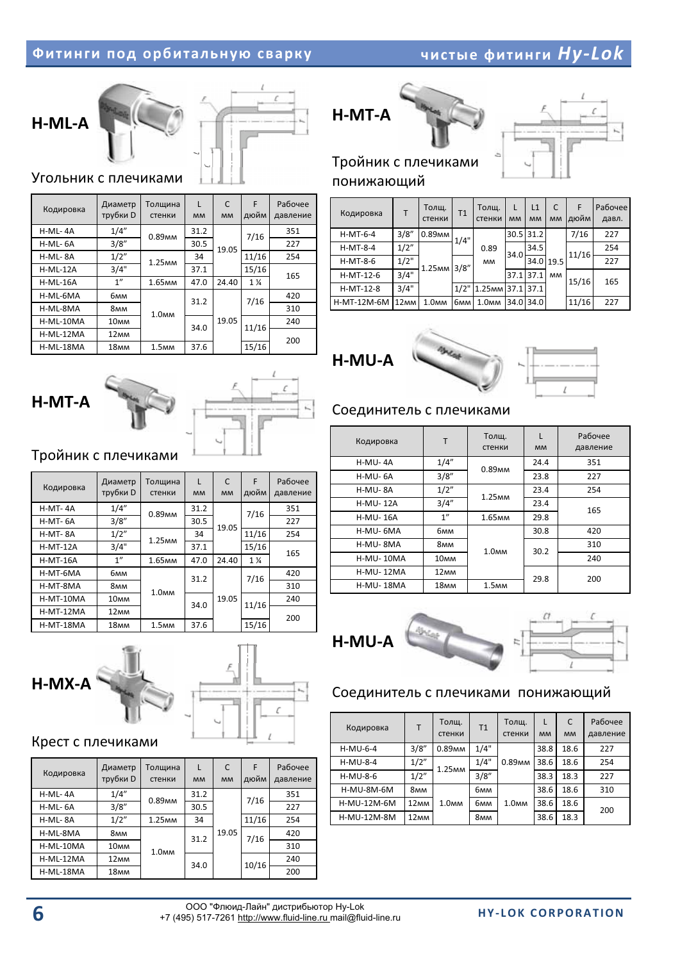### **Фитинги под орбитальную сварку и полнение при**

 *Hy-Lok*





Угольник с плечиками

H-MT-A

Кодировка

H-MT-4A

H-MT- 6A

H-MT-8A

H-MT-12A

 $H-MT-16A$ 

H-MT-6MA

H-MT-8MA

H-MT-10MA

H-MT-12MA

H-MT-18MA

| Кодировка  | Диаметр<br>трубки D | Толщина<br>стенки  | L<br><b>MM</b> | C<br><b>MM</b> | F<br>дюйм      | Рабочее<br>давление |
|------------|---------------------|--------------------|----------------|----------------|----------------|---------------------|
| H-ML-4A    | 1/4"                | 0.89 <sub>MM</sub> | 31.2           |                | 7/16           | 351                 |
| H-ML-6A    | 3/8"                |                    | 30.5           | 19.05          |                | 227                 |
| H-ML-8A    | 1/2"                | 1.25 <sub>MM</sub> | 34             |                | 11/16          | 254                 |
| $H-ML-12A$ | 3/4"                |                    | 37.1           |                | 15/16          | 165                 |
| $H-ML-16A$ | 1"                  | 1.65 <sub>MM</sub> | 47.0           | 24.40          | $1\frac{1}{4}$ |                     |
| H-ML-6MA   | бмм                 |                    | 31.2           |                | 7/16           | 420                 |
| H-ML-8MA   | <b>8мм</b>          | 1.0 <sub>MM</sub>  |                |                |                | 310                 |
| H-ML-10MA  | 10 <sub>MM</sub>    |                    | 34.0           | 19.05          | 11/16          | 240                 |
| H-ML-12MA  | 12 <sub>MM</sub>    |                    |                |                |                | 200                 |
| H-ML-18MA  | 18 <sub>MM</sub>    | 1.5 <sub>MM</sub>  | 37.6           |                | 15/16          |                     |

Толщина стенки

 $-$  0.89 $mm$ 

1.25<sub>MM</sub>

1.65<sub>MM</sub>

1.0<sub>mm</sub>

1.5<sub>MM</sub>

L- MM

31.2-

30.5-

34-

37.1-

47.0-

31.2-

34.0-

37.6-

C- MM

19.05-

24.40-

19.05-

F- ДЮЙМ

7/16-

11/16-

15/16-

1-¼-

7/16-

11/16-

15/16-

Рабочее давление

227-

254-

310-

200-

 $\frac{351}{2}$ 

165-

 $\overline{420}$ 

 $240$ 





### Тройник с плечиками понижающий

| Кодировка   | т                | Толщ.<br>стенки    | T1            | Толщ.<br>стенки         | <b>MM</b> | L1<br><b>MM</b> | C<br><b>MM</b> | F<br>дюйм | Рабочее<br>давл. |     |
|-------------|------------------|--------------------|---------------|-------------------------|-----------|-----------------|----------------|-----------|------------------|-----|
| $H-MT-6-4$  | 3/8''            | 0.89 <sub>MM</sub> | 1/4"          |                         |           | 30.5 31.2       |                | 7/16      | 227              |     |
| $H-MT-8-4$  | 1/2"             |                    | 3/8''<br>1/2" | 0.89                    | 34.0      | 34.5            |                | 11/16     | 254              |     |
| $H-MT-8-6$  | 1/2"             | 1.25 <sub>MM</sub> |               |                         | <b>MM</b> |                 | 34.0 19.5      |           |                  | 227 |
| $H-MT-12-6$ | 3/4"             |                    |               |                         | 37.1      | 37.1            | <b>MM</b>      | 15/16     | 165              |     |
| H-MT-12-8   | 3/4"             |                    |               | 1.25 <sub>MM</sub> 37.1 |           | 37.1            |                |           |                  |     |
| H-MT-12M-6M | 12 <sub>MM</sub> | 1.0 <sub>MM</sub>  | бмм           | 1.0 <sub>MM</sub>       | 34.0      | 34.0            |                | 11/16     | 227              |     |





### Соединитель с плечиками

| Кодировка        | T                | Толщ.<br>стенки      | <b>MM</b> | Рабочее<br>давление |
|------------------|------------------|----------------------|-----------|---------------------|
| H-MU-4A          | 1/4"             | 0.89 <sub>MM</sub>   | 24.4      | 351                 |
| H-MU-6A          | 3/8"             |                      | 23.8      | 227                 |
| H-MU-8A          | 1/2"             | 1.25 <sub>MM</sub>   | 23.4      | 254                 |
| <b>H-MU-12A</b>  | 3/4''            |                      | 23.4      | 165                 |
| <b>H-MU-16A</b>  | 1"               | $1.65$ <sub>MM</sub> | 29.8      |                     |
| H-MU-6MA         | бмм              |                      | 30.8      | 420                 |
| H-MU-8MA         | 8мм              | 1.0 <sub>MM</sub>    | 30.2      | 310                 |
| <b>H-MU-10MA</b> | 10 <sub>MM</sub> |                      |           | 240                 |
| <b>H-MU-12MA</b> | 12 <sub>MM</sub> |                      | 29.8      | 200                 |
| <b>H-MU-18MA</b> | 18 <sub>MM</sub> | 1.5 <sub>MM</sub>    |           |                     |

# H-MU-A



### Соединитель с плечиками понижающий

| Кодировка    | т                | Толщ.<br>стенки    | T <sub>1</sub> | Толщ.<br>стенки    | L<br><b>MM</b> | C<br><b>MM</b> | Рабочее<br>давление |
|--------------|------------------|--------------------|----------------|--------------------|----------------|----------------|---------------------|
| $H-MU-6-4$   | 3/8''            | 0.89 <sub>MM</sub> | 1/4"           |                    | 38.8           | 18.6           | 227                 |
| $H-MU-8-4$   | 1/2"             | 1.25 <sub>MM</sub> | 1/4"           | 0.89 <sub>MM</sub> | 38.6           | 18.6           | 254                 |
| $H-MU-8-6$   | 1/2"             |                    | 3/8"           |                    | 38.3           | 18.3           | 227                 |
| $H-MU-8M-6M$ | 8мм              |                    | бмм            |                    | 38.6           | 18.6           | 310                 |
| H-MU-12M-6M  | 12 <sub>MM</sub> | 1.0 <sub>MM</sub>  | бмм            | 1.0 <sub>MM</sub>  | 38.6           | 18.6           | 200                 |
| H-MU-12M-8M  | 12 <sub>MM</sub> |                    | <b>8мм</b>     |                    | 38.6           | 18.3           |                     |

# H-MX-A

Тройник с плечиками

**Диаметр** трубки D

 $1/4"$ 

 $3/8''$ 

 $1/2"$ 

 $3/4"$ 

 $1"$ 

бмм

8<sub>MM</sub>

10<sub>MM</sub>

12<sub>MM</sub>

18<sub>MM</sub>



### Крест с плечиками

| Кодировка | Диаметр<br>трубки D | Толщина<br>стенки  | L<br><b>MM</b> | C<br><b>MM</b> | F<br>дюйм     | Рабочее<br>давление |
|-----------|---------------------|--------------------|----------------|----------------|---------------|---------------------|
| H-ML-4A   | 1/4"                | 0.89 <sub>MM</sub> | 31.2           |                | 7/16          | 351                 |
| H-ML-6A   | 3/8"                |                    | 30.5           |                |               | 227                 |
| H-ML-8A   | 1/2"                | 1.25 <sub>MM</sub> | 34             |                | 11/16         | 254                 |
| H-ML-8MA  | 8мм                 |                    | 31.2           | 19.05          | 7/16<br>10/16 | 420                 |
| H-ML-10MA | 10 <sub>MM</sub>    | 1.0 <sub>MM</sub>  |                |                |               | 310                 |
| H-ML-12MA | 12 <sub>MM</sub>    |                    | 34.0           |                |               | 240                 |
| H-ML-18MA | 18 <sub>MM</sub>    |                    |                |                |               | 200                 |

**6** - ООО "Флюид-Лайн" дистрибьютор Ну-Lok<br>+7 (495) 517-7261 http://www.fluid-line.ru mail@fluid-line.ru **HY-LOK CORPORATION** ОО "Флюид-Лайн" дистрибьютор Hv-Lok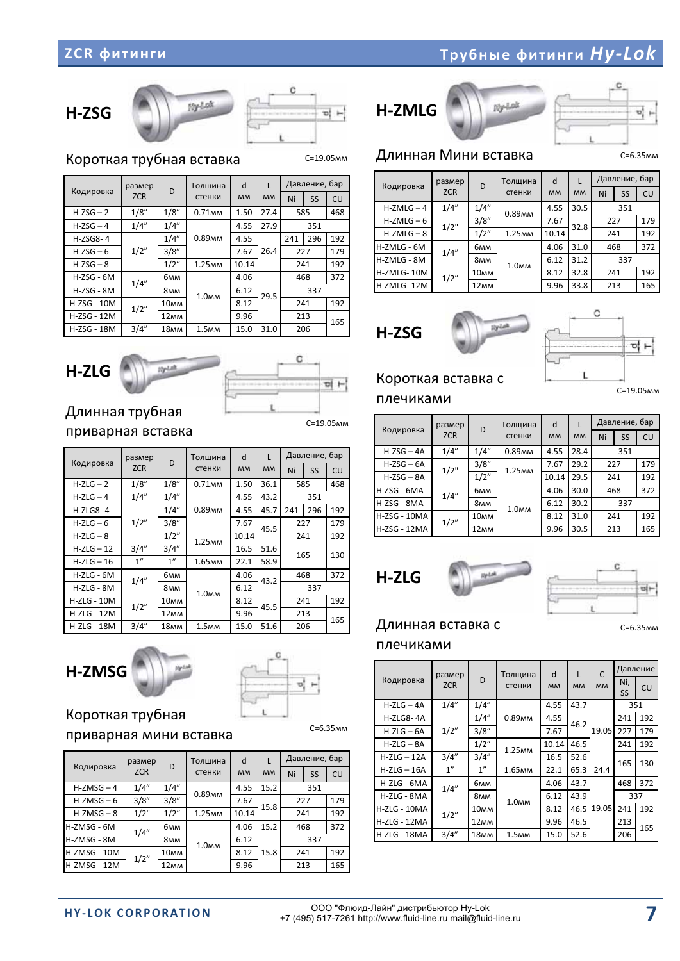### H-ZSG





C=19.05

Короткая трубная вставка

|                    | размер     | D                | Толщина            | d         | L         |     | Давление, бар |     |
|--------------------|------------|------------------|--------------------|-----------|-----------|-----|---------------|-----|
| Кодировка          | <b>ZCR</b> |                  | стенки             | <b>MM</b> | <b>MM</b> | Ni  | SS            | CU  |
| $H-ZSG-2$          | 1/8"       | 1/8"             | 0.71 <sub>MM</sub> | 1.50      | 27.4      | 585 |               | 468 |
| $H-ZSG-4$          | 1/4"       | 1/4"             |                    | 4.55      | 27.9      |     | 351           |     |
| $H-ZSG8-4$         |            | 1/4"             | 0.89 <sub>MM</sub> | 4.55      |           | 241 | 296           | 192 |
| $H-ZSG-6$          | 1/2"       | 3/8"             |                    | 7.67      | 26.4      | 227 |               | 179 |
| $H-ZSG-8$          |            | 1/2"             | 1.25 <sub>MM</sub> | 10.14     |           | 241 |               | 192 |
| $H-ZSG - 6M$       | 1/4''      | бмм              |                    | 4.06      |           | 468 |               | 372 |
| $H-ZSG - 8M$       |            | 8 <sub>MM</sub>  | 1.0 <sub>MM</sub>  | 6.12      | 29.5      |     | 337           |     |
| <b>H-ZSG - 10M</b> | 1/2"       | 10 <sub>MM</sub> |                    | 8.12      |           | 241 |               | 192 |
| H-ZSG - 12M        |            | 12 <sub>MM</sub> |                    | 9.96      |           | 213 |               | 165 |
| H-ZSG - 18M        | 3/4"       | 18 <sub>MM</sub> | 1.5 <sub>MM</sub>  | 15.0      | 31.0      |     | 206           |     |





### Длинная трубная приварная вставка

C=19.05<sub>MM</sub>

| Кодировка          | размер          | D                | Толщина            | d         |           |     | Давление, бар |     |
|--------------------|-----------------|------------------|--------------------|-----------|-----------|-----|---------------|-----|
|                    | <b>ZCR</b>      |                  | стенки             | <b>MM</b> | <b>MM</b> | Ni  | <b>SS</b>     | CU  |
| $H-ZLG - 2$        | 1/8"            | 1/8"             | 0.71 <sub>MM</sub> | 1.50      | 36.1      | 585 |               | 468 |
| $H-ZLG-4$          | 1/4"            | 1/4"             |                    | 4.55      | 43.2      |     | 351           |     |
| $H-ZLGS-4$         |                 | 1/4"             | 0.89 <sub>MM</sub> | 4.55      | 45.7      | 241 | 296           | 192 |
| $H-ZLG-6$          | 1/2"            | 3/8''            |                    | 7.67      | 45.5      | 227 |               | 179 |
| $H-ZLG - 8$        |                 | 1/2"             | 1.25 <sub>MM</sub> | 10.14     |           | 241 |               | 192 |
| $H-ZLG - 12$       | 3/4''           | 3/4''            |                    | 16.5      | 51.6      |     | 165           | 130 |
| $H-ZLG - 16$       | 1 <sup>''</sup> | 1"               | 1.65 <sub>MM</sub> | 22.1      | 58.9      |     |               |     |
| $H-ZLG - 6M$       | 1/4''           | бмм              |                    | 4.06      | 43.2      |     | 468           | 372 |
| H-ZLG - 8M         |                 | 8мм              | 1.0 <sub>MM</sub>  | 6.12      |           |     | 337           |     |
| $H-ZLG - 10M$      | 1/2"            | 10 <sub>MM</sub> |                    | 8.12      | 45.5      | 241 |               | 192 |
| <b>H-ZLG - 12M</b> |                 | 12 <sub>MM</sub> |                    | 9.96      |           |     | 213           | 165 |
| H-ZLG - 18M        | 3/4''           | 18 <sub>MM</sub> | 1.5 <sub>MM</sub>  | 15.0      | 51.6      |     | 206           |     |

H-ZMSG





C=6.35<sub>MM</sub>

### Короткая трубная

### приварная мини вставка

|                     | размер     | D                | Толщина            | d         |           |     | Давление, бар |     |  |  |
|---------------------|------------|------------------|--------------------|-----------|-----------|-----|---------------|-----|--|--|
| Кодировка           | <b>ZCR</b> | стенки           |                    | <b>MM</b> | <b>MM</b> | Ni  | SS            | CU  |  |  |
| $H-ZMSG-4$          | 1/4"       | 1/4"             | 0.89 <sub>MM</sub> | 4.55      | 15.2      |     |               |     |  |  |
| $H-ZMSG-6$          | 3/8"       | 3/8"             |                    | 7.67      | 15.8      |     | 227           |     |  |  |
| $H-ZMSG - 8$        | 1/2"       | 1/2"             | 1.25 <sub>MM</sub> | 10.14     |           | 241 |               | 192 |  |  |
| H-ZMSG - 6M         | 1/4''      | бмм              |                    | 4.06      | 15.2      | 468 |               | 372 |  |  |
| H-ZMSG - 8M         |            | <b>8мм</b>       | 1.0 <sub>MM</sub>  | 6.12      |           | 337 |               |     |  |  |
| H-ZMSG - 10M        | 1/2"       | 10 <sub>MM</sub> |                    | 8.12      | 15.8      |     | 241           |     |  |  |
| <b>H-ZMSG - 12M</b> |            | 12 <sub>MM</sub> |                    | 9.96      |           |     | 213           |     |  |  |

H-ZMLG



υļ

### Длинная Мини вставка

C=6.35

C=19.05

C=6.35<sub>MM</sub>

|              | размер<br>D |                  | Толщина            |       | L         |     | Давление, бар |     |  |
|--------------|-------------|------------------|--------------------|-------|-----------|-----|---------------|-----|--|
| Кодировка    | <b>ZCR</b>  |                  | стенки             |       | <b>MM</b> | Ni  | SS            | CU  |  |
| $H-ZMLG - 4$ | 1/4"        | 1/4"             | 0.89 <sub>MM</sub> | 4.55  | 30.5      |     | 351           |     |  |
| $H-ZMLG - 6$ | $1/2$ "     | 3/8''            |                    | 7.67  | 32.8      | 227 |               | 179 |  |
| $H-ZMLG - 8$ |             | 1/2"             | 1.25 <sub>MM</sub> | 10.14 |           | 241 |               | 192 |  |
| H-ZMLG - 6M  | 1/4''       | бмм              |                    | 4.06  | 31.0      | 468 |               | 372 |  |
| H-ZMLG - 8M  |             | 8 <sub>MM</sub>  | 1.0 <sub>MM</sub>  | 6.12  | 31.2      | 337 |               |     |  |
| H-ZMLG-10M   | 1/2"        | 10 <sub>MM</sub> |                    | 8.12  | 32.8      | 241 |               | 192 |  |
| H-ZMLG-12M   |             | 12 <sub>MM</sub> |                    | 9.96  | 33.8      | 213 |               | 165 |  |

H-ZSG



### Короткая вставка с плечиками

Кодировка размер **ZCR**  D-Толщина стенки d-  $MM$  $\mathbf{L}$  $MM$ Давление, бар Ni- SS- $\vert$  CU  $H-ZSG - 4A$  $1/4"$  $1/4"$ 0.89<sub>MM</sub> 4.55- $28.4$  $351$  $H-ZSG - 6A$  $1/2"$  $3/8"$  $-1.25mm$ 7.67- 29.2 227- 179 H-ZSG – 8A  $1/2"$  10.14 29.5 241- 192 H-ZSG - 6MA  $1/4"$  $6mm$  $1.0<sub>MM</sub>$ 4.06- 30.0 468- 372 H-ZSG - 8MA 8<sub>MM</sub> 6.12-30.2 337 H-ZSG - $1/2"$  $\frac{10\text{mm}}{12\text{mm}}$  8.12- 31.0 241- 192  $H-ZSG - 12MA$  12 $AM$  9.96- 30.5 213-165





### Длинная вставка с

плечиками

|                     | размер     |                  | Толщина            | d         | L         | C         |           | Давление |
|---------------------|------------|------------------|--------------------|-----------|-----------|-----------|-----------|----------|
| Кодировка           | <b>ZCR</b> | D                | стенки             | <b>MM</b> | <b>MM</b> | <b>MM</b> | Ni,       | CU       |
|                     |            |                  |                    |           |           |           | <b>SS</b> |          |
| $H-ZLG - 4A$        | 1/4"       | 1/4''            |                    | 4.55      | 43.7      |           | 351       |          |
| H-ZLG8-4A           |            | 1/4"             | 0.89 <sub>MM</sub> | 4.55      | 46.2      |           | 241       | 192      |
| $H-ZLG - 6A$        | 1/2"       | 3/8"             |                    | 7.67      |           | 19.05     | 227       | 179      |
| $H-ZLG - 8A$        |            | 1/2"             | 1.25 <sub>MM</sub> | 10.14     | 46.5      |           | 241       | 192      |
| $H-ZLG - 12A$       | 3/4''      | 3/4''            |                    | 16.5      | 52.6      |           | 165       | 130      |
| $H-ZLG - 16A$       | 1"         | 1 <sup>''</sup>  | 1.65 <sub>MM</sub> | 22.1      | 65.3      | 24.4      |           |          |
| H-ZLG - 6MA         | 1/4''      | бмм              |                    | 4.06      | 43.7      |           | 468       | 372      |
| H-ZLG - 8MA         |            | 8мм              | 1.0 <sub>MM</sub>  | 6.12      | 43.9      |           |           | 337      |
| H-ZLG - 10MA        | 1/2"       | 10 <sub>MM</sub> |                    | 8.12      | 46.5      | 19.05     | 241       | 192      |
| <b>H-ZLG - 12MA</b> |            | 12 <sub>MM</sub> |                    | 9.96      | 46.5      |           | 213       | 165      |
| H-ZLG - 18MA        | 3/4''      | 18 <sub>MM</sub> | 1.5 <sub>MM</sub>  | 15.0      | 52.6      |           | 206       |          |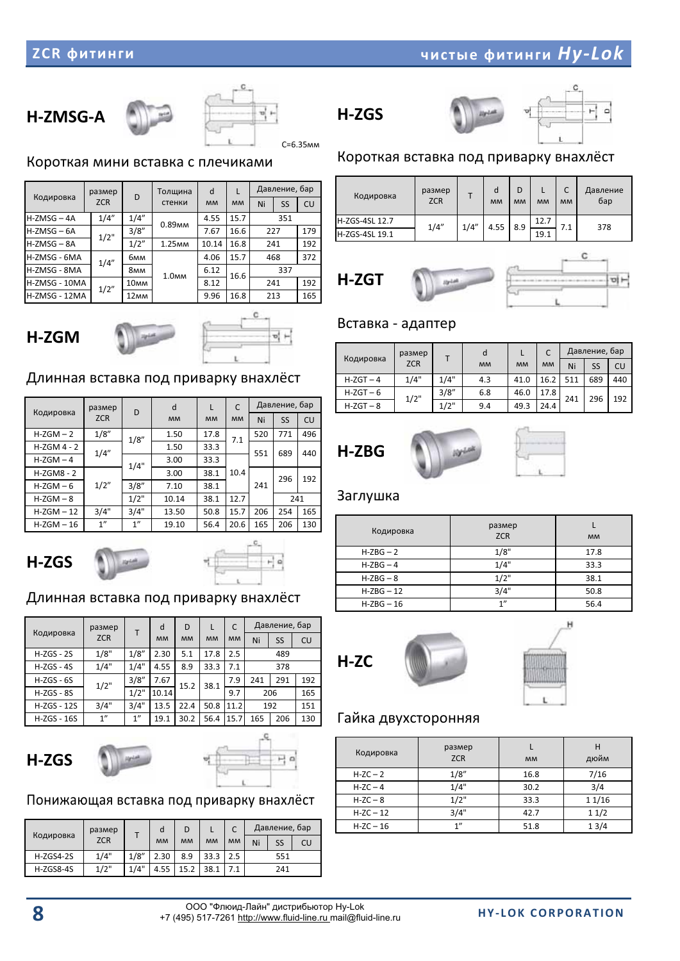### H-ZMSG-A



C=6.35<sub>MM</sub>

Короткая мини вставка с плечиками

|               | размер     | D                | Толщина            | d     | L         |     | Давление, бар |     |  |  |
|---------------|------------|------------------|--------------------|-------|-----------|-----|---------------|-----|--|--|
| Кодировка     | <b>ZCR</b> |                  | стенки             |       | <b>MM</b> | Ni  | SS            | CU  |  |  |
| $H-ZMSG - 4A$ | 1/4"       | 1/4"             | 0.89 <sub>MM</sub> | 4.55  | 15.7      |     | 351           |     |  |  |
| $H-ZMSG - 6A$ | 1/2"       | 3/8"             |                    | 7.67  | 16.6      | 227 |               | 179 |  |  |
| $H-ZMSG - 8A$ |            | 1/2"             | 1.25 <sub>MM</sub> | 10.14 | 16.8      | 241 |               | 192 |  |  |
| H-ZMSG - 6MA  | 1/4''      | бмм              |                    | 4.06  | 15.7      |     | 468           | 372 |  |  |
| H-ZMSG - 8MA  |            | 8мм              | 1.0 <sub>MM</sub>  | 6.12  | 16.6      |     | 337           |     |  |  |
| H-ZMSG - 10MA | 1/2"       | 10 <sub>MM</sub> |                    | 8.12  |           | 241 |               | 192 |  |  |
| H-ZMSG - 12MA |            | 12 <sub>MM</sub> |                    | 9.96  | 16.8      |     | 213           | 165 |  |  |





### Длинная вставка под приварку внахлёст

|               | размер     | D     | d         | T         | C         |     | Давление, бар |     |
|---------------|------------|-------|-----------|-----------|-----------|-----|---------------|-----|
| Кодировка     | <b>ZCR</b> |       | <b>MM</b> | <b>MM</b> | <b>MM</b> | Ni  | <b>SS</b>     | CU  |
| $H-ZGM-2$     | 1/8"       | 1/8'' | 1.50      | 17.8      | 7.1       | 520 | 771           | 496 |
| $H-ZGM$ 4 - 2 | 1/4''      |       | 1.50      | 33.3      |           | 551 | 689           | 440 |
| $H-ZGM-4$     |            | 1/4"  | 3.00      | 33.3      |           |     |               |     |
| $H-ZGMB - 2$  |            |       | 3.00      | 38.1      | 10.4      |     | 296           | 192 |
| $H-ZGM - 6$   | 1/2"       | 3/8'' | 7.10      | 38.1      |           | 241 |               |     |
| $H-ZGM-8$     |            | 1/2"  | 10.14     | 38.1      | 12.7      |     | 241           |     |
| $H-ZGM - 12$  | 3/4"       | 3/4"  | 13.50     | 50.8      | 15.7      | 206 | 254           | 165 |
| $H-ZGM - 16$  | 1"         | 1"    | 19.10     | 56.4      | 20.6      | 165 | 206           | 130 |





### Длинная вставка под приварку внахлёст

|                    | размер     | т     | d         | D         |           | C         |     | Давление, бар |     |
|--------------------|------------|-------|-----------|-----------|-----------|-----------|-----|---------------|-----|
| Кодировка          | <b>ZCR</b> |       | <b>MM</b> | <b>MM</b> | <b>MM</b> | <b>MM</b> | Ni  | SS            | CU  |
| $H-ZGS - 2S$       | 1/8"       | 1/8"  | 2.30      | 5.1       | 17.8      | 2.5       |     |               |     |
| $H-ZGS - 4S$       | 1/4"       | 1/4"  | 4.55      | 8.9       | 33.3      | 7.1       |     |               |     |
| $H-ZGS - 6S$       | 1/2"       | 3/8'' | 7.67      | 15.2      | 38.1      | 7.9       | 241 | 291           | 192 |
| $H-ZGS - 8S$       |            | 1/2"  | 10.14     |           |           | 9.7       |     | 206           | 165 |
| <b>H-ZGS - 12S</b> | 3/4"       | 3/4"  | 13.5      | 22.4      | 50.8      | 11.2      | 192 |               | 151 |
| <b>H-ZGS - 16S</b> | 1"         | 1"    | 19.1      | 30.2      | 56.4      | 15.7      | 165 | 206           | 130 |

H-ZGS



### Понижающая вставка под приварку внахлёст

| Кодировка   | размер     |      | d         | D         |           |           |     | Давление, бар |    |
|-------------|------------|------|-----------|-----------|-----------|-----------|-----|---------------|----|
|             | <b>ZCR</b> |      | <b>MM</b> | <b>MM</b> | <b>MM</b> | <b>MM</b> | Ni  | SS            | CU |
| $H-ZGS4-2S$ | 1/4"       | 1/8" | 2.30      | 8.9       | 33.3      | 2.5       | 551 |               |    |
| H-ZGS8-4S   | 1/2"       | 1/4" | 4.55      | 15.2      | 38.1      |           | 241 |               |    |



H-ZGS



### Короткая вставка под приварку внахлёст

| Кодировка      | размер<br><b>ZCR</b> |      | d<br><b>MM</b> | D<br><b>MM</b> | <b>MM</b> | C<br><b>MM</b> | Давление<br>бар |
|----------------|----------------------|------|----------------|----------------|-----------|----------------|-----------------|
| H-ZGS-4SL 12.7 | 1/4''                | 1/4" | 4.55           | 8.9            | 12.7      | 7.1            | 378             |
| H-ZGS-4SL 19.1 |                      |      |                |                | 19.1      |                |                 |





### Вставка - адаптер

| Кодировка   | размер<br><b>ZCR</b> |       | d<br><b>MM</b> | <b>MM</b> | <b>MM</b> | Ni  | Давление, бар<br>SS | CU  |
|-------------|----------------------|-------|----------------|-----------|-----------|-----|---------------------|-----|
| $H-ZGT-4$   | 1/4"                 | 1/4"  | 4.3            | 41.0      | 16.2      | 511 | 689                 | 440 |
| $H-ZGT - 6$ | 1/2"                 | 3/8'' | 6.8            | 46.0      | 17.8      | 241 | 296                 | 192 |
| $H-ZGT - 8$ |                      | 1/2"  | 9.4            | 49.3      | 24.4      |     |                     |     |





### Заглушка

| Кодировка    | размер<br><b>ZCR</b> | <b>MM</b> |
|--------------|----------------------|-----------|
| $H-ZBG - 2$  | 1/8"                 | 17.8      |
| $H-ZBG-4$    | 1/4"                 | 33.3      |
| $H-ZBG-8$    | 1/2"                 | 38.1      |
| $H-ZBG - 12$ | 3/4"                 | 50.8      |
| $H-ZBG - 16$ | 1"                   | 56.4      |





### Гайка двухсторонняя

| Кодировка   | размер<br><b>ZCR</b> | <b>MM</b> | дюйм   |
|-------------|----------------------|-----------|--------|
| $H-ZC-2$    | 1/8"                 | 16.8      | 7/16   |
| $H-ZC - 4$  | 1/4"                 | 30.2      | 3/4    |
| $H-ZC - 8$  | 1/2"                 | 33.3      | 1 1/16 |
| $H-ZC - 12$ | 3/4"                 | 42.7      | 11/2   |
| $H-ZC - 16$ | 1"                   | 51.8      | 13/4   |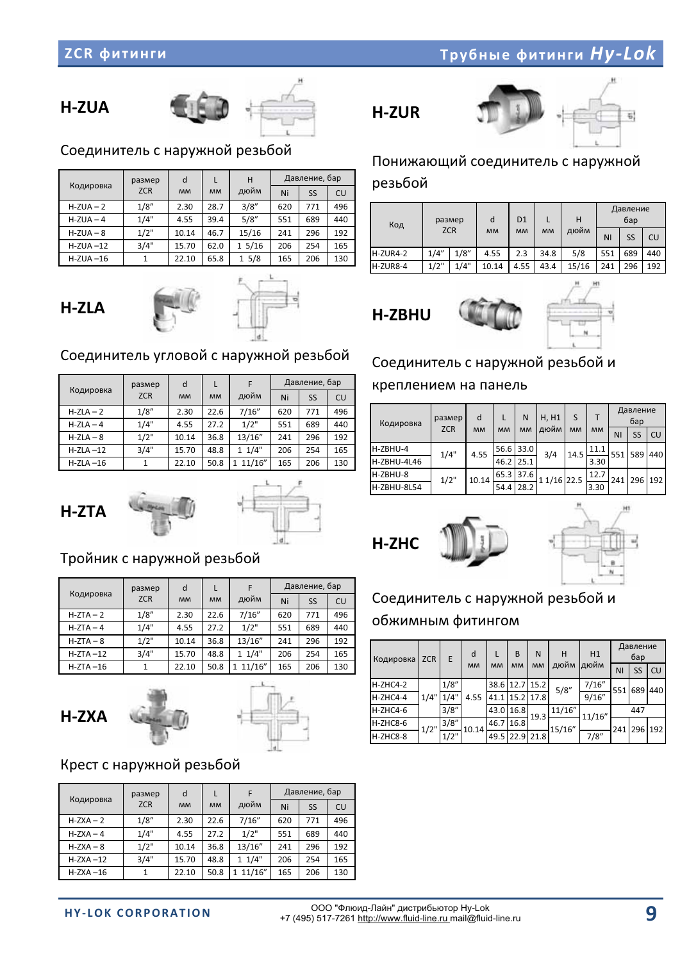### **TOVOHOLO CONTRACT CONTRACT CONTRACT CONTRACT CONTRACT CONTRACT CONTRACT CONTRACT CONTRACT CONTRACT CONTRACT CONTRACT CONTRACT CONTRACT CONTRACT CONTRACT CONTRACT CONTRACT CONTRACT CONTRACT CONTRACT CONTRACT CONTRACT CONTR**

### H-ZUA



### Соединитель с наружной резьбой

|              | размер     | d         |           | н     | Давление, бар |     |     |  |
|--------------|------------|-----------|-----------|-------|---------------|-----|-----|--|
| Кодировка    | <b>ZCR</b> | <b>MM</b> | <b>MM</b> | дюйм  | Ni            | SS  | CU  |  |
| $H-ZUA - 2$  | 1/8''      | 2.30      | 28.7      | 3/8'' | 620           | 771 | 496 |  |
| $H-ZUA - 4$  | 1/4"       | 4.55      | 39.4      | 5/8"  | 551           | 689 | 440 |  |
| $H-ZUA - 8$  | 1/2"       | 10.14     | 46.7      | 15/16 | 241           | 296 | 192 |  |
| $H-ZUA - 12$ | 3/4"       | 15.70     | 62.0      | 15/16 | 206           | 254 | 165 |  |
| $H-ZUA - 16$ |            | 22.10     | 65.8      | 15/8  | 165           | 206 | 130 |  |





### Соединитель угловой с наружной резьбой

|              | размер     | d         |           | F        | Давление, бар |           |     |
|--------------|------------|-----------|-----------|----------|---------------|-----------|-----|
| Кодировка    | <b>ZCR</b> | <b>MM</b> | <b>MM</b> | дюйм     | Ni            | <b>SS</b> | CU  |
| $H-ZLA - 2$  | 1/8"       | 2.30      | 22.6      | 7/16''   | 620           | 771       | 496 |
| $H-ZLA - 4$  | 1/4"       | 4.55      | 27.2      | 1/2"     | 551           | 689       | 440 |
| $H-ZLA - 8$  | 1/2"       | 10.14     | 36.8      | 13/16"   | 241           | 296       | 192 |
| $H-ZLA - 12$ | 3/4"       | 15.70     | 48.8      | 11/4"    | 206           | 254       | 165 |
| $H-ZLA - 16$ | 1          | 22.10     | 50.8      | 1 11/16" | 165           | 206       | 130 |





### Тройник с наружной резьбой

|             | размер     | d         |           | F           |     | Давление, бар |     |
|-------------|------------|-----------|-----------|-------------|-----|---------------|-----|
| Кодировка   | <b>ZCR</b> | <b>MM</b> | <b>MM</b> | дюйм        | Ni  | SS            | CU  |
| $H-ZTA-2$   | 1/8"       | 2.30      | 22.6      | 7/16''      | 620 | 771           | 496 |
| $H-ZTA-4$   | 1/4"       | 4.55      | 27.2      | 1/2"        | 551 | 689           | 440 |
| $H-ZTA - 8$ | 1/2"       | 10.14     | 36.8      | 13/16"      | 241 | 296           | 192 |
| $H-ZTA-12$  | 3/4"       | 15.70     | 48.8      | 11/4"       | 206 | 254           | 165 |
| $H-ZTA-16$  |            | 22.10     | 50.8      | 11/16"<br>1 | 165 | 206           | 130 |





### Крест с наружной резьбой

|              | размер     | d         |           | F                      |     | Давление, бар |     |
|--------------|------------|-----------|-----------|------------------------|-----|---------------|-----|
| Кодировка    | <b>ZCR</b> | <b>MM</b> | <b>MM</b> | дюйм                   | Ni  | SS            | CU  |
| $H-ZXA-2$    | 1/8''      | 2.30      | 22.6      | 7/16''                 | 620 | 771           | 496 |
| $H-ZXA-4$    | 1/4"       | 4.55      | 27.2      | 1/2"                   | 551 | 689           | 440 |
| $H-ZXA - 8$  | 1/2"       | 10.14     | 36.8      | 13/16"                 | 241 | 296           | 192 |
| $H-ZXA - 12$ | 3/4"       | 15.70     | 48.8      | 11/4"                  | 206 | 254           | 165 |
| $H-ZXA - 16$ | 1          | 22.10     | 50.8      | 11/16"<br>$\mathbf{1}$ | 165 | 206           | 130 |

### H-ZUR



### Понижающий соединитель с наружной

резьбой

| размер<br>Код |              |            | d     | D <sub>1</sub> |           | н     |     | Давление<br>бар |     |
|---------------|--------------|------------|-------|----------------|-----------|-------|-----|-----------------|-----|
|               |              | <b>ZCR</b> |       | <b>MM</b>      | <b>MM</b> | дюйм  | NI  | SS              | CU  |
| H-ZUR4-2      | 1/4"         | 1/8"       | 4.55  | 2.3            | 34.8      | 5/8   | 551 | 689             | 440 |
| H-ZUR8-4      | 1/2"<br>1/4" |            | 10.14 | 4.55           | 43.4      | 15/16 | 241 | 296             | 192 |

**H-ZBHU** 



### Соединитель с наружной резьбой и

### креплением на панель

| Кодировка   | размер     | d         | L         | N         | H, H1       | S         |           |     | Давление<br>бар |     |
|-------------|------------|-----------|-----------|-----------|-------------|-----------|-----------|-----|-----------------|-----|
|             | <b>ZCR</b> | <b>MM</b> | <b>MM</b> | <b>MM</b> | дюйм        | <b>MM</b> | <b>MM</b> | NI  | SS              | CU  |
| H-ZBHU-4    | 1/4"       | 4.55      | 56.6      | 33.0      | 3/4         | 14.5      | 11.1      | 551 | 589             | 440 |
| H-ZBHU-4L46 |            |           | 46.2      | 25.1      |             |           | 3.30      |     |                 |     |
| H-ZBHU-8    | 1/2"       | 10.14     | 65.3      | 37.6      | 1 1/16 22.5 |           | 12.7      | 241 | 296 192         |     |
| H-ZBHU-8L54 |            |           | 54.4      | 28.2      |             |           | 3.30      |     |                 |     |





### Соединитель с наружной резьбой и обжимным фитингом

| Кодировка  | <b>ZCR</b> | E.    | d         |           | B         | N         | н      | H1     |     | Давление<br>бар |     |
|------------|------------|-------|-----------|-----------|-----------|-----------|--------|--------|-----|-----------------|-----|
|            |            |       | <b>MM</b> | <b>MM</b> | <b>MM</b> | <b>MM</b> | дюйм   | дюйм   | ΝI  | SS              | CU  |
| $H-ZHC4-2$ |            | 1/8'' |           | 38.6      |           | 12.7 15.2 | 5/8"   | 7/16'' | 551 | 689             | 440 |
| $H-ZHC4-4$ | 1/4"       | 1/4"  | 4.55      | 41.1      |           | 15.2 17.8 |        | 9/16'' |     |                 |     |
| $H-ZHC4-6$ |            | 3/8'' |           | 43.0      | 16.8      | 19.3      | 11/16" | 11/16" |     | 447             |     |
| H-ZHC8-6   | 1/2"       | 3/8'' | 10.14     | 46.7      | 16.8      |           | 15/16" |        | 241 | 296             | 192 |
| H-ZHC8-8   |            | 1/2"  |           | 49.5      | 22.9      | 21.8      |        | 7/8"   |     |                 |     |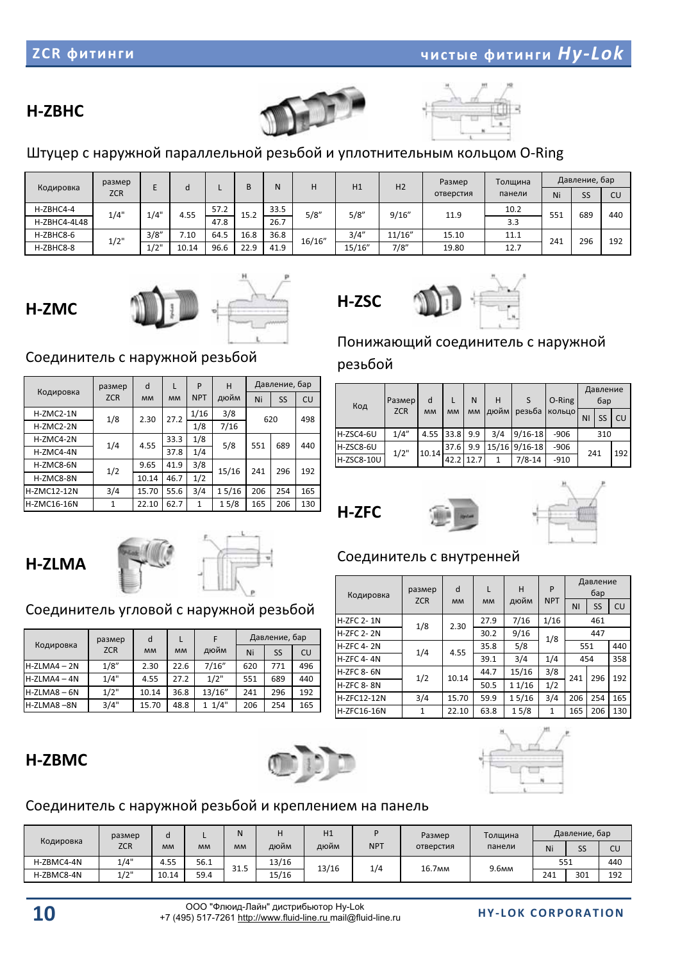### H-ZBHC





### Штуцер с наружной параллельной резьбой и уплотнительным кольцом O-Ring

| Кодировка    | размер     |       |       |      |      | N    | H1     |        | H <sub>2</sub> | Размер    | Толщина |     | Давление, бар |     |
|--------------|------------|-------|-------|------|------|------|--------|--------|----------------|-----------|---------|-----|---------------|-----|
|              | <b>ZCR</b> |       |       |      |      |      |        |        |                | отверстия | панели  | Ni  | SS            | CU  |
| H-ZBHC4-4    | 1/4"       | 1/4"  | 4.55  | 57.2 | 15.2 | 33.5 | 5/8"   | 5/8"   | 9/16''         | 11.9      | 10.2    | 551 | 689           | 440 |
| H-ZBHC4-4L48 |            |       |       | 47.8 |      | 26.7 |        |        |                |           | 3.3     |     |               |     |
| H-ZBHC8-6    | 1/2"       | 3/8'' | 7.10  | 64.5 | 16.8 | 36.8 | 16/16" | 3/4''  | 11/16"         | 15.10     | 11.1    | 241 | 296           | 192 |
| H-ZBHC8-8    |            | 1/2"  | 10.14 | 96.6 | 22.9 | 41.9 |        | 15/16" | 7/8"           | 19.80     | 12.7    |     |               |     |





### Соединитель с наружной резьбой

|                    | размер     | d         | L         | P            | н     | Давление, бар<br>Ni<br>SS<br>620<br>551<br>689<br>241<br>296 |     |     |
|--------------------|------------|-----------|-----------|--------------|-------|--------------------------------------------------------------|-----|-----|
| Кодировка          | <b>ZCR</b> | <b>MM</b> | <b>MM</b> | <b>NPT</b>   | дюйм  |                                                              |     | CU  |
| H-ZMC2-1N          | 1/8        | 2.30      | 27.2      | 1/16         | 3/8   |                                                              |     | 498 |
| H-ZMC2-2N          |            |           |           | 1/8          | 7/16  |                                                              |     |     |
| H-ZMC4-2N          | 1/4        | 4.55      | 33.3      | 1/8          | 5/8   |                                                              |     | 440 |
| H-ZMC4-4N          |            |           | 37.8      | 1/4          |       |                                                              |     |     |
| H-ZMC8-6N          | 1/2        | 9.65      | 41.9      | 3/8          | 15/16 |                                                              |     | 192 |
| H-ZMC8-8N          |            | 10.14     | 46.7      | 1/2          |       |                                                              |     |     |
| <b>H-ZMC12-12N</b> | 3/4        | 15.70     | 55.6      | 3/4          | 15/16 | 206                                                          | 254 | 165 |
| <b>H-ZMC16-16N</b> | 1          | 22.10     | 62.7      | $\mathbf{1}$ | 15/8  | 165                                                          | 206 | 130 |

### Понижающий соединитель с наружной

### резьбой

H-ZSC

| Код        | Размер     | d         |           | N         | н    | S             | O-Ring |     | Давление<br>бар |     |
|------------|------------|-----------|-----------|-----------|------|---------------|--------|-----|-----------------|-----|
|            | <b>ZCR</b> | <b>MM</b> | <b>MM</b> | <b>MM</b> | дюйм | резьба        | кольцо | ΝI  | SS              | CU  |
| H-ZSC4-6U  | 1/4"       | 4.55      | 33.8      | 9.9       | 3/4  | $9/16 - 18$   | $-906$ |     | 310             |     |
| H-ZSC8-6U  | 1/2"       | 10.14     | 37.6      | 9.9       |      | 15/16 9/16-18 | $-906$ | 241 |                 | 192 |
| H-ZSC8-10U |            |           | 42.2      | 12.7      | 1    | $7/8 - 14$    | $-910$ |     |                 |     |



H-ZFC 8-8N

H-ZFC12-12N

H-ZFC16-16N



Давление

## H-ZLMA



### Соединитель угловой с наружной резьбой

|                | размер     | d         |           |        |     | Давление, бар |     |
|----------------|------------|-----------|-----------|--------|-----|---------------|-----|
| Кодировка      | <b>ZCR</b> | <b>MM</b> | <b>MM</b> | дюйм   | Ni  | SS            | CU  |
| $H-ZLMAA - 2N$ | 1/8''      | 2.30      | 22.6      | 7/16'' | 620 | 771           | 496 |
| $H-ZLMAA - 4N$ | 1/4"       | 4.55      | 27.2      | 1/2"   | 551 | 689           | 440 |
| $H-ZLMAB - 6N$ | 1/2"       | 10.14     | 36.8      | 13/16" | 241 | 296           | 192 |
| H-ZLMA8-8N     | 3/4"       | 15.70     | 48.8      | 11/4"  | 206 | 254           | 165 |

#### Кодировка размер Z<sub>CR</sub> d- **MM** L- **MM** H дюйм P-NPT-  $6ap$ NI- SS- $\overline{\phantom{a}}$  CU H-ZFC 2-1N 1/8- 2.30- 27.9- 7/16- $1/16$  461- H-ZFC 2- 2N 30.2- 9/16- 1/8- 447-H-ZFC 4-2N 1/4- 4.55- 35.8- 5/8- 551- 440 H-ZFC 4-4N 39.1- 3/4- 1/4- 454- 358 H-ZFC 8-6N 44.7- 15/16-3/8-

Соединитель с внутренней



### H-ZBMC





### Соединитель с наружной резьбой и креплением на панель

|            | размер     | d         |           |           |       | H1    |            | Размер             | Толщина |     | Давление, бар |     |
|------------|------------|-----------|-----------|-----------|-------|-------|------------|--------------------|---------|-----|---------------|-----|
| Кодировка  | <b>ZCR</b> | <b>MM</b> | <b>MM</b> | <b>MM</b> | дюйм  | дюйм  | <b>NPT</b> | отверстия          | панели  | Ni  | <b>SS</b>     | CU  |
| H-ZBMC4-4N | 1/4"       | 4.55      | 56.1      | 31.5      | 13/16 | 13/16 | 1/4        | 16.7 <sub>MM</sub> | 9.6мм   | 551 |               | 440 |
| H-ZBMC8-4N | 1/2"       | 10.14     | 59.4      |           | 15/16 |       |            |                    |         | 241 | 301           | 192 |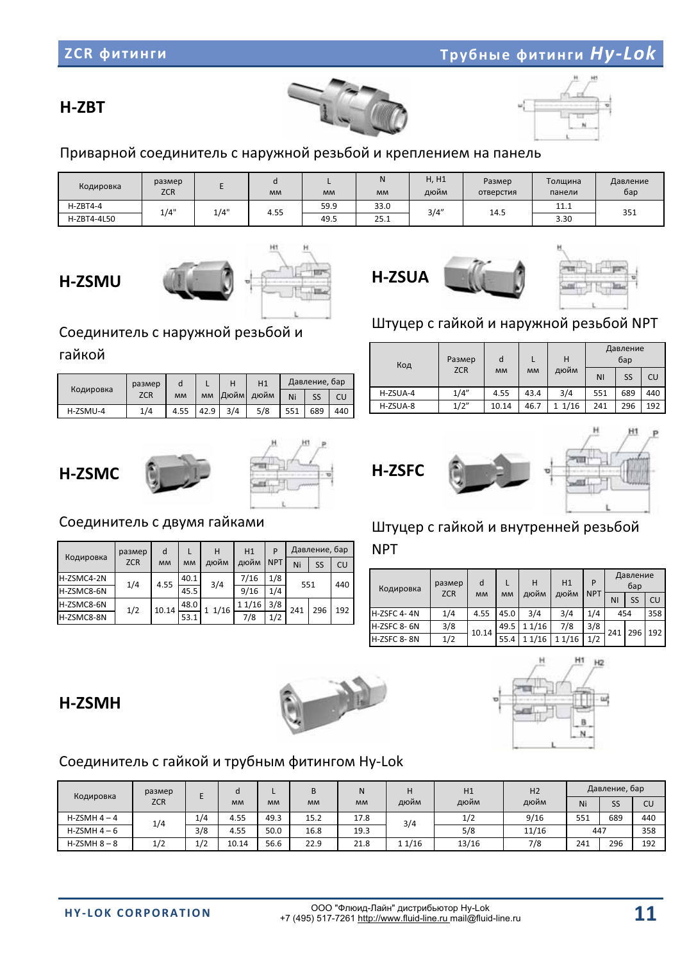

# Соединитель с гайкой и трубным фитингом Hy-Lok

#### Кодировка размер **ZCR**  E d-  $MM$ L- **MM** B-  $MM$ N- **MM** H дюйм H1 дюйм H2 дюйм Давление, бар Ni- SS- CU-  $H-ZSMH4-4$  1/4- $\frac{1}{4}$  4.55- 49.3- 15.2- 17.8- 3/4- $\frac{1}{2}$  $9/16$  551- 689- 440-  $H$ -ZSMH $4-6$  3/8- 4.55- 50.0- 16.8- 19.3- 5/8- 11/16- 447- 358-  $H-ZSMH8-8$  $1/2$  $1/2$  10.14- 56.6- 22.9- 21.8- 1-1/16- 13/16- 7/8- 241- 296-192-

ОО "Флюид-Лайн" дистрибьютор Hv-Lok

|           |           |      |      |     |                |     | Код      | <b>Разг</b><br>ZC |
|-----------|-----------|------|------|-----|----------------|-----|----------|-------------------|
| d         |           | н    | H1   |     | Давление, бар  |     |          |                   |
| <b>MM</b> | <b>MM</b> | Дюйм | дюйм | Ni  | SS             | CU  | H-ZSUA-4 | 1/                |
| 4.55      | 42.9      | 3/4  | 5/8  | 551 | 689            | 440 | H-ZSUA-8 | 1/3               |
|           |           |      |      |     |                |     |          |                   |
|           |           |      |      |     | $\overline{a}$ |     |          |                   |

### H-ZSMC

гайкой

Кодировка

H-ZSMU-4

размер **ZCR** 

1/4-



### Соединитель с двумя гайками

|            | размер     | d         |           | н    | H1     |            |     | Давление, бар |     |  |
|------------|------------|-----------|-----------|------|--------|------------|-----|---------------|-----|--|
| Кодировка  | <b>ZCR</b> | <b>MM</b> | <b>MM</b> | дюйм | дюйм   | <b>NPT</b> | Ni  | SS            | CU  |  |
| H-ZSMC4-2N | 1/4        | 4.55      | 40.1      | 3/4  | 7/16   | 1/8        | 551 |               | 440 |  |
| H-ZSMC8-6N |            |           | 45.5      |      | 9/16   | 1/4        |     |               |     |  |
| H-ZSMC8-6N |            | 10.14     | 48.0      | 1/16 | 1 1/16 | 3/8        | 241 | 296           |     |  |
| H-ZSMC8-8N | 1/2        |           | 53.1      |      | 7/8    | 1/2        |     |               | 192 |  |

Штуцер с гайкой и внутренней резьбой

NPT-

| Кодировка          | размер | d                       |                   | н      | H1    | P          |                | Давление<br>бар |     |
|--------------------|--------|-------------------------|-------------------|--------|-------|------------|----------------|-----------------|-----|
|                    |        | <b>ZCR</b><br><b>MM</b> | дюйм<br><b>MM</b> |        | дюйм  | <b>NPT</b> | N <sub>1</sub> | SS              | CU  |
| <b>H-ZSFC 4-4N</b> | 1/4    | 4.55                    | 45.0              | 3/4    | 3/4   | 1/4        | 454            |                 | 358 |
| H-ZSFC 8-6N        | 3/8    | 10.14                   | 49.5              | 1 1/16 | 7/8   | 3/8        | 241            | 296             | 192 |
| H-ZSFC 8-8N        | 1/2    |                         | 55.4              | 1 1/16 | 11/16 | 1/2        |                |                 |     |

# Штуцер с гайкой и наружной резьбой NPT

| d<br>Размер<br>Код<br><b>ZCR</b><br><b>MM</b> |      |           |      | Н    | Давление<br>бар |     |     |  |
|-----------------------------------------------|------|-----------|------|------|-----------------|-----|-----|--|
|                                               |      | <b>MM</b> | дюйм | ΝI   | SS              | CU  |     |  |
| H-ZSUA-4                                      | 1/4" | 4.55      | 43.4 | 3/4  | 551             | 689 | 440 |  |
| H-ZSUA-8                                      | 1/2" | 10.14     | 46.7 | 1/16 | 241             | 296 | 192 |  |

### Приварной соединитель с наружной резьбой и креплением на панель

| Кодировка   | размер<br><b>ZCR</b> |      | <b>MM</b> | <b>MM</b> | <b>MM</b> | H, H1<br>дюйм | Размер<br>отверстия | Толшина<br>панели | Давление<br>бар |
|-------------|----------------------|------|-----------|-----------|-----------|---------------|---------------------|-------------------|-----------------|
| $H-ZBT4-4$  | 1/4"                 | 1/4" | 4.55      | 59.9      | 33.0      | 3/4"          |                     | 11.1              |                 |
| H-ZBT4-4L50 |                      |      |           | 49.5      | 25.1      |               | 14.5                | 3.30              | 351             |

H-ZSUA

H-ZBT

## **H-ZSMU**

Соединитель с наружной резьбой и

### ZCR **WATHFM**









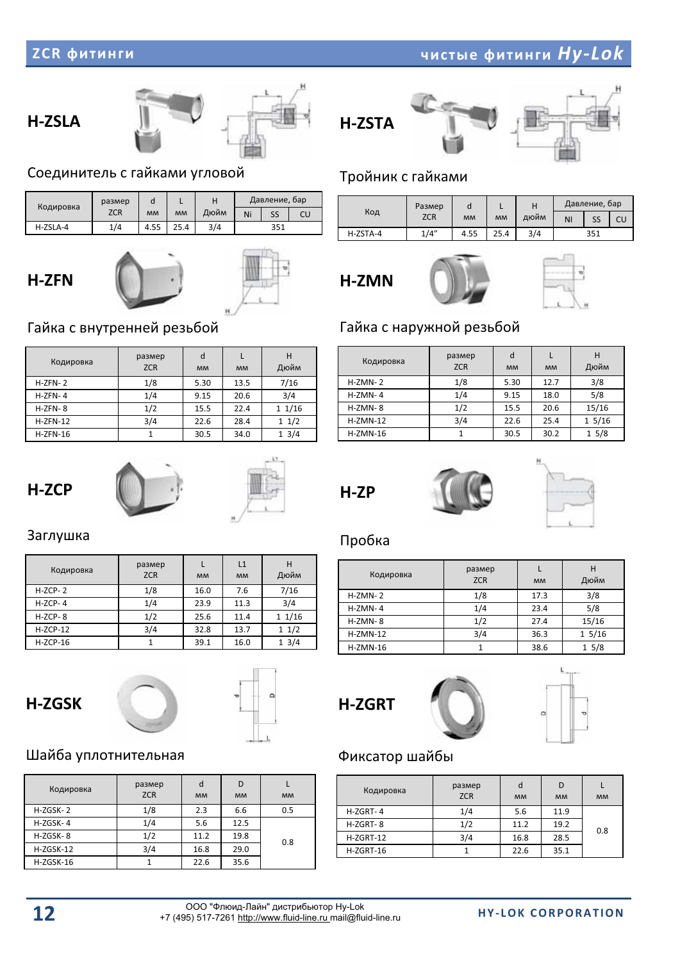### H-ZSLA



### Соединитель с гайками угловой

| Кодировка | размер | o         |           |      |     | Давление, бар |    |
|-----------|--------|-----------|-----------|------|-----|---------------|----|
|           | ZCR    | <b>MM</b> | <b>MM</b> | Дюйм | Ni  | SS            | CU |
| H-ZSLA-4  | 1/4    | 4.55      | 25.4      | 3/4  | 351 |               |    |

### H-ZFN



### Тройник с гайками

|          | Размер     |           |           | н    | Давление, бар |    |    |  |
|----------|------------|-----------|-----------|------|---------------|----|----|--|
| Код      | <b>ZCR</b> | <b>MM</b> | <b>MM</b> | дюйм | NI            | SS | CU |  |
| H-ZSTA-4 | 1/4"       | 4.55      | 25.4      | 3/4  | 351           |    |    |  |



Кодировка

H-ZMN-2

H-ZMN-4

H-ZMN-8

 $H-ZMN-12$ 

 $H-ZMN-16$ 

H-ZP

H-ZSTA



L-  $MM$ 

12.7-

18.0-

20.6-

25.4-

30.2-

H- Дюйм

3/8-

5/8-

15/16-

1 5/16

1--5/8-

### Гайка с наружной резьбой

- размер

**ZCR** 

 $1/8$ 

1/4-

 $1/2$ 

3/4-

1-

d- **MM** 

5.30-

9.15-

15.5-

22.6-

30.5-

### Гайка с внутренней резьбой

| Кодировка  | размер<br><b>ZCR</b> | d<br><b>MM</b> | <b>MM</b> | н<br>Дюйм |
|------------|----------------------|----------------|-----------|-----------|
| $H-ZFN-2$  | 1/8                  | 5.30           | 13.5      | 7/16      |
| $H-ZFN-4$  | 1/4                  | 9.15           | 20.6      | 3/4       |
| $H-ZFN-8$  | 1/2                  | 15.5           | 22.4      | 11/16     |
| $H-ZFN-12$ | 3/4                  | 22.6           | 28.4      | 11/2      |
| $H-ZFN-16$ |                      | 30.5           | 34.0      | 13/4      |





### Заглушка

| Кодировка  | размер<br><b>ZCR</b> | <b>MM</b> | L1<br><b>MM</b> | Дюйм  |
|------------|----------------------|-----------|-----------------|-------|
| $H-ZCP-2$  | 1/8                  | 16.0      | 7.6             | 7/16  |
| $H-ZCP-4$  | 1/4                  | 23.9      | 11.3            | 3/4   |
| $H-ZCP-8$  | 1/2                  | 25.6      | 11.4            | 11/16 |
| $H-ZCP-12$ | 3/4                  | 32.8      | 13.7            | 11/2  |
| $H-ZCP-16$ |                      | 39.1      | 16.0            | 13/4  |

### H-ZGSK



### Шайба уплотнительная

| Кодировка   | размер<br><b>ZCR</b> | d<br><b>MM</b> | <b>MM</b> | <b>MM</b> |
|-------------|----------------------|----------------|-----------|-----------|
| H-ZGSK-2    | 1/8                  | 2.3            | 6.6       | 0.5       |
| H-ZGSK-4    | 1/4                  | 5.6            | 12.5      |           |
| $H-ZGSK-8$  | 1/2                  | 11.2           | 19.8      | 0.8       |
| $H-ZGSK-12$ | 3/4                  | 16.8           | 29.0      |           |
| H-ZGSK-16   |                      | 22.6           | 35.6      |           |

### Пробка

| Кодировка  | размер<br><b>ZCR</b> | <b>MM</b> | н<br>Дюйм |
|------------|----------------------|-----------|-----------|
| $H-ZMN-2$  | 1/8                  | 17.3      | 3/8       |
| $H-ZMN-4$  | 1/4                  | 23.4      | 5/8       |
| $H-ZMN-8$  | 1/2                  | 27.4      | 15/16     |
| $H-ZMN-12$ | 3/4                  | 36.3      | 15/16     |
| $H-ZMN-16$ |                      | 38.6      | 15/8      |



### Фиксатор шайбы

| Кодировка   | размер<br><b>ZCR</b> | d<br><b>MM</b> | D<br><b>MM</b> | <b>MM</b> |
|-------------|----------------------|----------------|----------------|-----------|
| $H-ZGRT-4$  | 1/4                  | 5.6            | 11.9           |           |
| H-ZGRT-8    | 1/2                  | 11.2           | 19.2           | 0.8       |
| $H-ZGRT-12$ | 3/4                  | 16.8           | 28.5           |           |
| $H-ZGRT-16$ |                      | 22.6           | 35.1           |           |